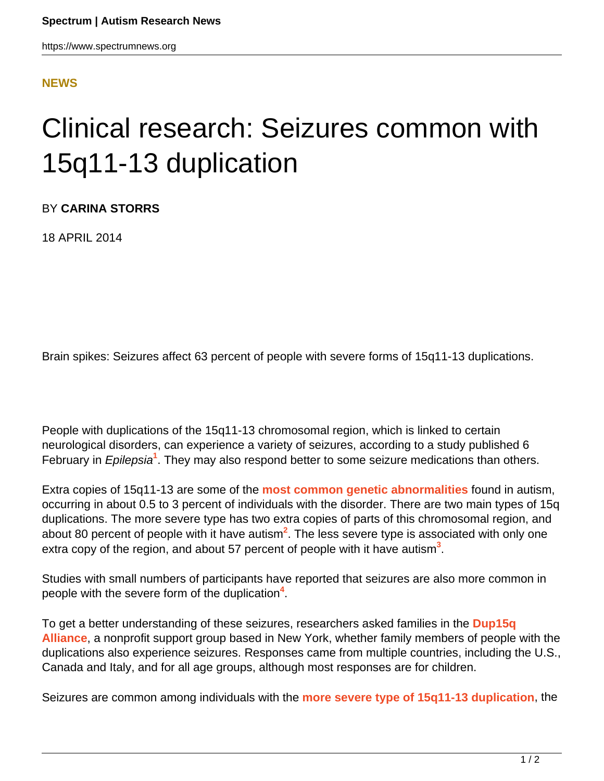## **[NEWS](HTTPS://WWW.SPECTRUMNEWS.ORG/NEWS/)**

## Clinical research: Seizures common with 15q11-13 duplication

BY **CARINA STORRS**

18 APRIL 2014

Brain spikes: Seizures affect 63 percent of people with severe forms of 15q11-13 duplications.

People with duplications of the 15q11-13 chromosomal region, which is linked to certain neurological disorders, can experience a variety of seizures, according to a study published 6 February in *Epilepsia*<sup>1</sup>. They may also respond better to some seizure medications than others.

Extra copies of 15q11-13 are some of the **[most common genetic abnormalities](https://www.spectrumnews.org/conference-news/2013/dup15q-alliance-scientific-meeting-2013/duplication-of-chromosome-15-region-mirrors-autism)** found in autism, occurring in about 0.5 to 3 percent of individuals with the disorder. There are two main types of 15q duplications. The more severe type has two extra copies of parts of this chromosomal region, and about 80 percent of people with it have autism**<sup>2</sup>** . The less severe type is associated with only one extra copy of the region, and about 57 percent of people with it have autism<sup>3</sup>.

Studies with small numbers of participants have reported that seizures are also more common in people with the severe form of the duplication**<sup>4</sup>** .

To get a better understanding of these seizures, researchers asked families in the **[Dup15q](http://www.dup15q.org) [Alliance](http://www.dup15q.org)**, a nonprofit support group based in New York, whether family members of people with the duplications also experience seizures. Responses came from multiple countries, including the U.S., Canada and Italy, and for all age groups, although most responses are for children.

Seizures are common among individuals with the **[more severe type of 15q11-13 duplication](https://www.spectrumnews.org/conference-news/2012/dup15q-scientific-meeting-2012/researchers-home-in-on-dosage-effects-of-15q11-13-region)**, the